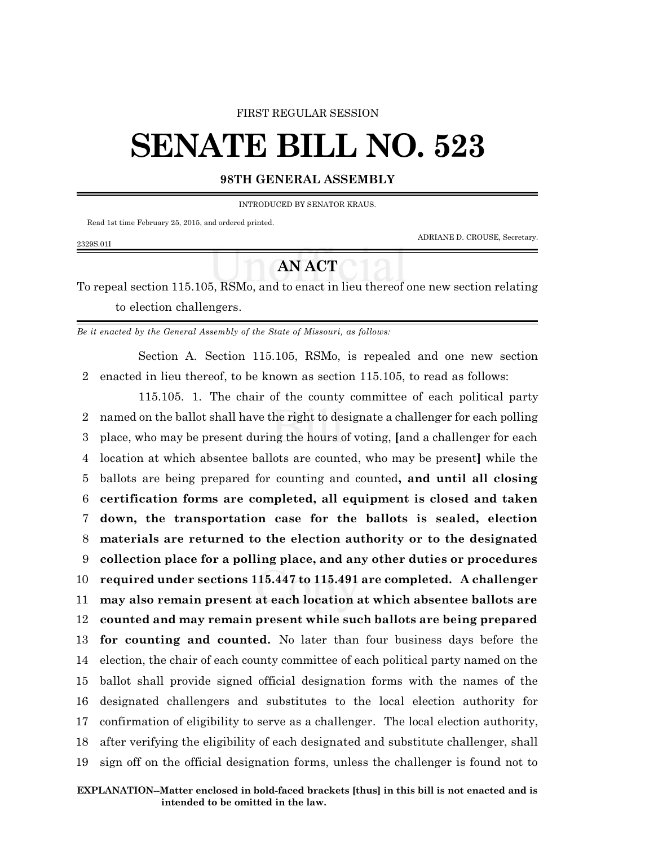## FIRST REGULAR SESSION

## **SENATE BILL NO. 523**

## **98TH GENERAL ASSEMBLY**

INTRODUCED BY SENATOR KRAUS.

Read 1st time February 25, 2015, and ordered printed.

2329S.01I

ADRIANE D. CROUSE, Secretary.

## **AN ACT**

To repeal section 115.105, RSMo, and to enact in lieu thereof one new section relating to election challengers.

*Be it enacted by the General Assembly of the State of Missouri, as follows:*

Section A. Section 115.105, RSMo, is repealed and one new section 2 enacted in lieu thereof, to be known as section 115.105, to read as follows:

115.105. 1. The chair of the county committee of each political party named on the ballot shall have the right to designate a challenger for each polling place, who may be present during the hours of voting, **[**and a challenger for each location at which absentee ballots are counted, who may be present**]** while the ballots are being prepared for counting and counted**, and until all closing certification forms are completed, all equipment is closed and taken down, the transportation case for the ballots is sealed, election materials are returned to the election authority or to the designated collection place for a polling place, and any other duties or procedures required under sections 115.447 to 115.491 are completed. A challenger may also remain present at each location at which absentee ballots are counted and may remain present while such ballots are being prepared for counting and counted.** No later than four business days before the election, the chair of each county committee of each political party named on the ballot shall provide signed official designation forms with the names of the designated challengers and substitutes to the local election authority for confirmation of eligibility to serve as a challenger. The local election authority, after verifying the eligibility of each designated and substitute challenger, shall sign off on the official designation forms, unless the challenger is found not to